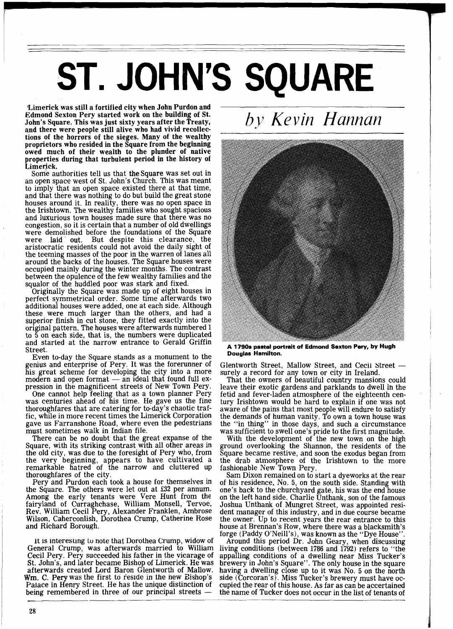## ST. JOHN'S SQUARE

'Limerick was still a fortified city when John Purdon and Edmond Sexton Pery started work on the building of St. John's Square. This was just sixty years after the Treaty, and there were people still alive who had vivid recollections of the horrors of the sieges. Many of the wealthy proprietors who resided in the Square from the beginning owed much of their wealth to the plunder of native properties during that turbulent period in the history of Limerick.

Some authorities tell us that the Square was set out in an open space west of St. John's Church. This was meant to imply that an open space existed there at that time, and that there was nothing to do but build the great stone houses around it. In reality, there was no open space in the Irishtown. The wealthy families who sought spacious and luxurious town houses made sure that there was no and luxurious town houses made sure that there was no congestion, so it is certain that a number of old dwellings were demolished before the foundations of the Square were laid out. But despite this clearance, the aristocratic residents could not avoid the daily sight of the teeming masses of the poor in the warren of lanes all around the backs of the houses. The Square houses were occupied mainly during the winter months. The contrast between the opulence of the few wealthy families and the squalor of the huddled poor was stark and fixed.

Originally the Square was made up of eight houses in perfect symmetrical order. Some time afterwards two additional houses were added, one at each side. Although<br>these were much larger than the others, and had a these were much larger than the others, and had a superior finish in cut stone, they fitted exactly into the original pattern. The houses were afterwards numbered 1 to 5 on each side, that is, the numbers were duplicated and started at the narrow entrance to Gerald Griffin Street.

Even to-day the Square stands as a monument to the genius and enterprise of Pery. It was the forerunner of his great scheme for developing the city into a more modern and open format  $-$  an ideal that found full expression in the magnificent streets of New Town Pery. One cannot help feeling that as a town planner Pery

was centuries ahead of his time. He gave us the fine thoroughfares that are catering for to-day's chaotic traffic, while in more recent times the Limerick Corporation gave us Farranshone Road, where even the pedestrians must sometimes walk in Indian file.

There can be no doubt that the great expanse of the Square, with its striking contrast with all other areas in the old city, was due to the foresight of Pery who, from the very beginning, appears to have cultivated a remarkable hatred of the narrow and cluttered up<br>thoroughfares of the city. thoroughfares of the city.<br>Pery and Purdon each took a house for themselves in

the Square. The others were let out at 532 per annum. Among the early tenants were Vere Hunt from the fairyland of Curraghchase, William Monsell, Tervoe, Rev. William Cecil Pery, Alexander Franklen, Ambrose Wilson, Caherconlish, Dorothea Crump, Catherine Rose and Richard Borough.

It is interesting to note that Dorothea Crump, widow of General Crump, was afterwards married to William Cecil Pery. Pery succeeded his father in the vicarage of St. John's, and later became Bishop of Limerick. He was afterwards created Lord Baron Glentworth of Mallow. Palace in Henry Street. He has the unique distinction of being remembered in three of our principal streets — Wm. C. Pery was the first to reside in the new Bishop's



*by Kevin Hannan* 

**A 1790s pastel portrait of Edmond Sexton Pery, by Hugh Douglas Hamilton.** 

Glentworth Street, Mallow Street, and Cecil Street - surely a record for any town or city in Ireland.

That the owners of beautiful country mansions could leave their exotic gardens and parklands to dwell in the fetig and fever-laden atmosphere of the eighteenth central centers at a smoot aware of the pains that most people will endure to satisfy the demands of human vanity. To own a town house was the "in thing" in those days, and such a circumstance

was sufficient to swell one's pride to the first magnitude. With the development of the new town on the high ground overlooking the Shannon, the residents of the Square became restive, and soon the exodus began from the drab atmosphere of the Irishtown to the more fashionable New Town Pery.

Sam Dixon remained on to start a dyeworks at the rear of his residence, No. 5, on the south side. Standing with one's back to the churchyard gate, his was the end house on the left hand side. Charlie Unthank, son of the famous Joshua Unthank of Mungret Street, was appointed resident manager of this industry, and in due course became the owner. Up to recent years the rear entrance to this house at Brennan's Row, where there was a blacksmith's forge (Paddy O'Neill's), was known as the "Dye House".

Around this period Dr. John Geary, when discussing living conditions (between 1786 and 1792) refers to "the appalling conditions of a dwelling near Miss Tucker's brewery in John's Square". The only house in the square having a dwelling close up to it was No. 5 on the north side (Corcoran's). Miss Tucker's brewery must have occupied the rear of this house. As far as can be accertained the name of Tucker does not occur in the list of tenants of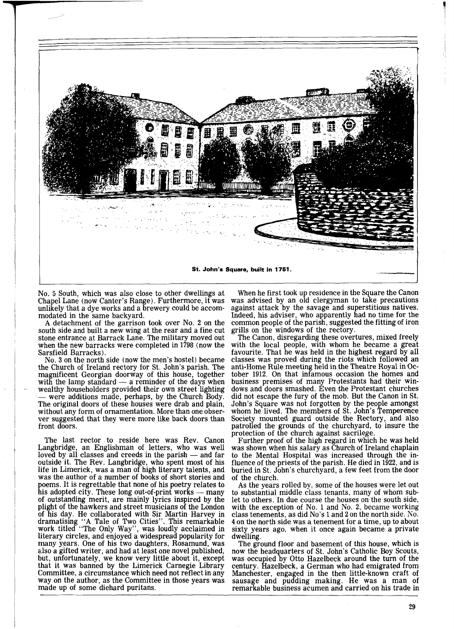

No. 5 South, which was also close to other dwellings at Chapel Lane (now Canter's Range). Furthermore, it was unlikely that a dye works and a brewery could be accom-

A detachment of the garrison took over No. 2 on the south side and built a new wing at the rear and a fine cut stone entrance at Barrack Lane. The military moved out when the new barracks were completed in 1798 (now the Sarsfield Barracks).

No. **3** on the north side (now the men's hostel) became the Church of Ireland rectory for St. John's parish. The magnificent Georgian doorway of this house, together with the lamp standard — a reminder of the days when wealthy householders provided their own street lighting — were additions made, perhaps, by the Church Body. The original doors of these houses were drab and plain, without any form of ornamentation. More than one observer suggested that they were more like back doors than front doors.

The last rector to reside here was Rev. Canon Langbridge, an Englishman of letters, who was well The last rector to reside here was Rev. Canon<br>Langbridge, an Englishman of letters, who was well<br>loved by all classes and creeds in the parish — and far<br>outside it. The Bev. I angularity who spent most of his outside it. The Rev. Langbridge, who spent most of his life in Limerick, was a man of high literary talents, and was the author of a number of books of short stories and poems. It is regrettable that none of his poetry relates to his adopted city. These long out-of-print works — many of outstanding merit, are mainly lyrics inspired b poems. It is regrettable that none of his poetry relates to his adopted city. These long out-of-print works — many plight of the hawkers and street musicians of the London of his day. He collaborated with Sir Martin Harvey in dramatising "A Tale of Two Cities". This remarkable work titled "The Only Way", was loudly acclaimed in literary circles, and enjoyed a widespread popularity for many years. One of his two daughters, Rosamund, was also a gifted writer, and had at least one novel published, but, unfortunately, we know very little about it, except that it was banned by the Limerick Carnegie Library Committee, a circumstance which need not reflect in any way on the author, as the Committee in those years was made up of some diehard puritans.

When he first took up residence in the Square the Canon was advised by an old clergyman to take precautions against attack by the savage and superstitious natives. Indeed, his adviser, who apparently had no time for the common people of the parish, suggested the fitting of iron grills on the windows of the rectory.<br>The Canon, disregarding these overtures, mixed freely

with the local people, with whom he became a great favourite. That he was held in the highest regard by all classes was proved during the riots which followed an anti-Home Rule meeting held in the Theatre Royal in October 1912. On that infamous occasion the homes and business premises of many Protestants had their windows and doors smashed. Even the Protestant churches did not escape the fury of the mob. But the Canon in St. John's Square was not forgotten by the people amongst whom he lived. The members of St. John's Temperence Society mounted guard outside the Rectory, and also patrolled the grounds of the churchyard, to insure the

protection of the church against sacrilege. Further proof of the high regard in which he was held was shown when his salary as Church of Ireland chaplain to the Mental Hospital was increased through the influence of the priests of the parish. He died in 1922, and is buried in St. John's churchyard, a few feet from the door of the church.

As the years rolled by, some of the houses were let out to substantial middle class tenants, many of whom sublet to others. In due course the houses on the south side, with the exception of No. 1 and No. 2, became working class tenements, as did No's 1 and 2 on the north side. No. 4 on the north side was a tenement for a time, up to about sixty years ago, when it once again became a private dwelling.

The ground floor and basement of this house, which is now the headquarters of St. John's Catholic Boy Scouts, was occupied by Otto Hazelbeck around the turn of the century. Hazelbeck, a German who had emigrated from Manchester, engaged in the then little-known craft of sausage and pudding making. He was a man of remarkable business acumen and carried on his trade in